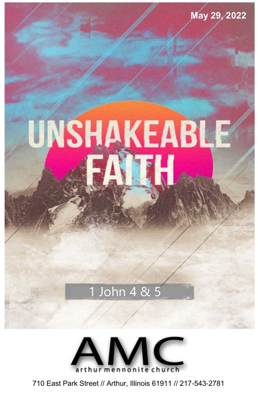

**May 29, 2022**

# 1 John 4 & 5



710 East Park Street // Arthur, Illinois 61911 // 217-543-2781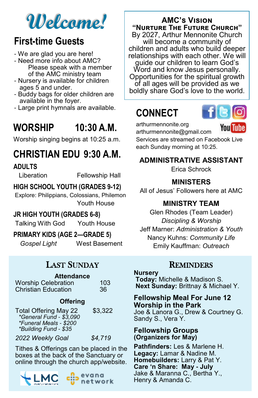# **Welcome!**

### **First-time Guests**

- We are glad you are here!
- Need more info about AMC? Please speak with a member of the AMC ministry team
- Nursery is available for children ages 5 and under.
- Buddy bags for older children are available in the foyer.
- Large print hymnals are available.

# **WORSHIP 10:30 A.M.**

Worship singing begins at 10:25 a.m.

# **CHRISTIAN EDU 9:30 A.M.**

#### **ADULTS**

Liberation Fellowship Hall

#### **HIGH SCHOOL YOUTH (GRADES 9-12)**

Explore: Philippians, Colossians, Philemon Youth House

#### **JR HIGH YOUTH (GRADES 6-8)**

Talking With God Youth House

#### **PRIMARY KIDS (AGE 2—GRADE 5)**

*Gospel Light* West Basement

### LAST SUNDAY

### **Attendance**

| <b>Worship Celebration</b> | 103 |
|----------------------------|-----|
| <b>Christian Education</b> | 36  |

#### **Offering**

| Total Offering May 22<br>*General Fund - \$3,090<br>*Funeral Meals - \$200 | \$3,322 |
|----------------------------------------------------------------------------|---------|
| *Building Fund - \$35                                                      |         |
| $0.000111 - 11.0 - 1$                                                      | $ -1 -$ |

*2022 Weekly Goal \$4,719*

Tithes & Offerings can be placed in the boxes at the back of the Sanctuary or online through the church app/website.





### **AMC's Vision "Nurture The Future Church"**

By 2027, Arthur Mennonite Church will become a community of children and adults who build deeper relationships with each other. We will guide our children to learn God's Word and know Jesus personally. Opportunities for the spiritual growth of all ages will be provided as we boldly share God's love to the world.

# **CONNECT**



arthurmennonite.org arthurmennonite@gmail.com

You Tube

Services are streamed on Facebook Live each Sunday morning at 10:25.

#### **ADMINISTRATIVE ASSISTANT**

Erica Schrock

#### **MINISTERS**

All of Jesus' Followers here at AMC

#### **MINISTRY TEAM**

Glen Rhodes (Team Leader) *Discipling & Worship*  Jeff Marner: *Administration & Youth* Nancy Kuhns: *Community Life* Emily Kauffman: *Outreach*

#### **REMINDERS**

#### **Nursery**

**Today:** Michelle & Madison S. **Next Sunday:** Brittnay & Michael Y.

#### **Fellowship Meal For June 12 Worship in the Park** Joe & Lanora G., Drew & Courtney G. Sandy S., Vera Y.

#### **Fellowship Groups (Organizers for May)**

**Pathfinders:** Les & Marlene H. **Legacy:** Lamar & Nadine M. **Homebuilders:** Larry & Pat Y. **Care 'n Share: May - July** Jake & Maranna C., Bertha Y., Henry & Amanda C.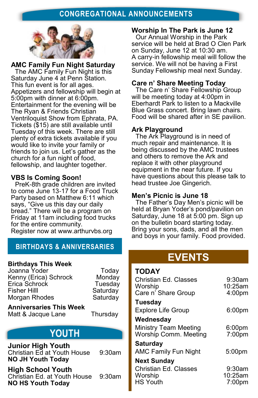#### **CONGREGATIONAL ANNOUNCEMENTS**



**AMC Family Fun Night Saturday** The AMC Family Fun Night is this Saturday June 4 at Penn Station. This fun event is for all ages. Appetizers and fellowship will begin at 5:00pm with dinner at 6:00pm. Entertainment for the evening will be The Ryan & Friends Christian Ventriloquist Show from Ephrata, PA. Tickets (\$15) are still available until Tuesday of this week. There are still plenty of extra tickets available if you would like to invite your family or friends to join us. Let's gather as the church for a fun night of food, fellowship, and laughter together.

#### **VBS Is Coming Soon!**

PreK-8th grade children are invited to come June 13-17 for a Food Truck Party based on Matthew 6:11 which says, "Give us this day our daily bread." There will be a program on Friday at 11am including food trucks for the entire community. Register now at www.arthurvbs.org

#### **BIRTHDAYS & ANNIVERSARIES**

#### **Birthdays This Week**

Joanna Yoder **Today** Kenny (Erica) Schrock Monday Erica Schrock Tuesday Fisher Hilll Saturday Morgan Rhodes Saturday

**Anniversaries This Week** Matt & Jacque Lane Thursday

### **YOUTH**

**Junior High Youth** Christian Ed at Youth House 9:30am **NO JH Youth Today**

**High School Youth** Christian Ed. at Youth House 9:30am **NO HS Youth Today**

**Worship In The Park is June 12**

Our Annual Worship in the Park service will be held at Brad O Clen Park on Sunday, June 12 at 10:30 am. A carry-in fellowship meal will follow the service. We will not be having a First Sunday Fellowship meal next Sunday.

#### **Care n' Share Meeting Today**

The Care n' Share Fellowship Group will be meeting today at 4:00pm in Eberhardt Park to listen to a Mackville Blue Grass concert. Bring lawn chairs. Food will be shared after in SE pavilion.

#### **Ark Playground**

The Ark Playground is in need of much repair and maintenance. It is being discussed by the AMC trustees and others to remove the Ark and replace it with other playground equipment in the near future. If you have questions about this please talk to head trustee Joe Gingerich.

#### **Men's Picnic is June 18**

The Father's Day Men's picnic will be held at Bryan Yoder's pond/pavilion on Saturday, June 18 at 5:00 pm. Sign up on the bulletin board starting today. Bring your sons, dads, and all the men and boys in your family. Food provided.

### **EVENTS**

#### **TODAY**

| Christian Ed. Classes<br>Worship<br>Care n' Share Group | $9:30$ am<br>$10:25$ am<br>4:00pm |
|---------------------------------------------------------|-----------------------------------|
| <b>Tuesday</b>                                          |                                   |
| <b>Explore Life Group</b>                               | 6:00 <sub>pm</sub>                |
| Wednesday                                               |                                   |
| Ministry Team Meeting                                   | 6:00 <sub>pm</sub>                |
| Worship Comm. Meeting                                   | 7:00pm                            |
| <b>Saturday</b>                                         |                                   |
| <b>AMC Family Fun Night</b>                             | 5:00pm                            |
| <b>Next Sunday</b>                                      |                                   |
| Christian Ed. Classes                                   | $9:30$ am                         |
| Worship                                                 | 10:25am                           |
| <b>HS Youth</b>                                         | $7:00$ pm                         |